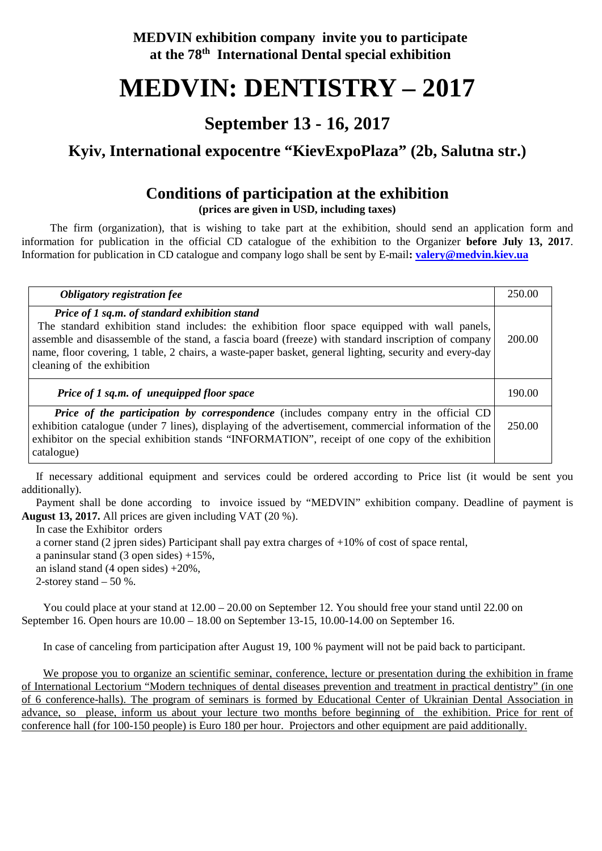**MEDVIN exhibition company invite you to participate at the 78th International Dental special exhibition**

# **MEDVIN: DENTISTRY – 2017**

## **September 13 - 16, 2017**

# **Kyiv, International expocentre "KievExpoPlaza" (2b, Salutna str.)**

## **Conditions of participation at the exhibition**

**(prices are given in USD, including taxes)**

The firm (organization), that is wishing to take part at the exhibition, should send an application form and information for publication in the official CD catalogue of the exhibition to the Organizer **before July 13, 2017**. Information for publication in CD catalogue and company logo shall be sent by E-mail**: [valery@medvin.kiev.ua](mailto:valery@medvin.kiev.ua)**

| Obligatory registration fee                                                                                                                                                                                                                                                                                                                                                                    | 250.00 |
|------------------------------------------------------------------------------------------------------------------------------------------------------------------------------------------------------------------------------------------------------------------------------------------------------------------------------------------------------------------------------------------------|--------|
| Price of 1 sq.m. of standard exhibition stand<br>The standard exhibition stand includes: the exhibition floor space equipped with wall panels,<br>assemble and disassemble of the stand, a fascia board (freeze) with standard inscription of company<br>name, floor covering, 1 table, 2 chairs, a waste-paper basket, general lighting, security and every-day<br>cleaning of the exhibition | 200.00 |
| <b>Price of 1 sq.m. of unequipped floor space</b>                                                                                                                                                                                                                                                                                                                                              | 190.00 |
| <b>Price of the participation by correspondence</b> (includes company entry in the official CD<br>exhibition catalogue (under 7 lines), displaying of the advertisement, commercial information of the<br>exhibitor on the special exhibition stands "INFORMATION", receipt of one copy of the exhibition<br>catalogue)                                                                        | 250.00 |

If necessary additional equipment and services could be ordered according to Price list (it would be sent you additionally).

Payment shall be done according to invoice issued by "MEDVIN" exhibition company. Deadline of payment is **August 13, 2017.** All prices are given including VAT (20 %).

In case the Exhibitor orders

a corner stand (2 jpren sides) Participant shall pay extra charges of +10% of cost of space rental,

a paninsular stand  $(3 \text{ open sides}) +15\%,$ 

an island stand  $(4 \text{ open sides}) + 20\%,$ 

2-storey stand  $-50\%$ .

You could place at your stand at 12.00 – 20.00 on September 12. You should free your stand until 22.00 on September 16. Open hours are 10.00 – 18.00 on September 13-15, 10.00-14.00 on September 16.

In case of canceling from participation after August 19, 100 % payment will not be paid back to participant.

We propose you to organize an scientific seminar, conference, lecture or presentation during the exhibition in frame of International Lectorium "Modern techniques of dental diseases prevention and treatment in practical dentistry" (in one of 6 conference-halls). The program of seminars is formed by Educational Center of Ukrainian Dental Association in advance, so please, inform us about your lecture two months before beginning of the exhibition. Price for rent of conference hall (for 100-150 people) is Euro 180 per hour. Projectors and other equipment are paid additionally.